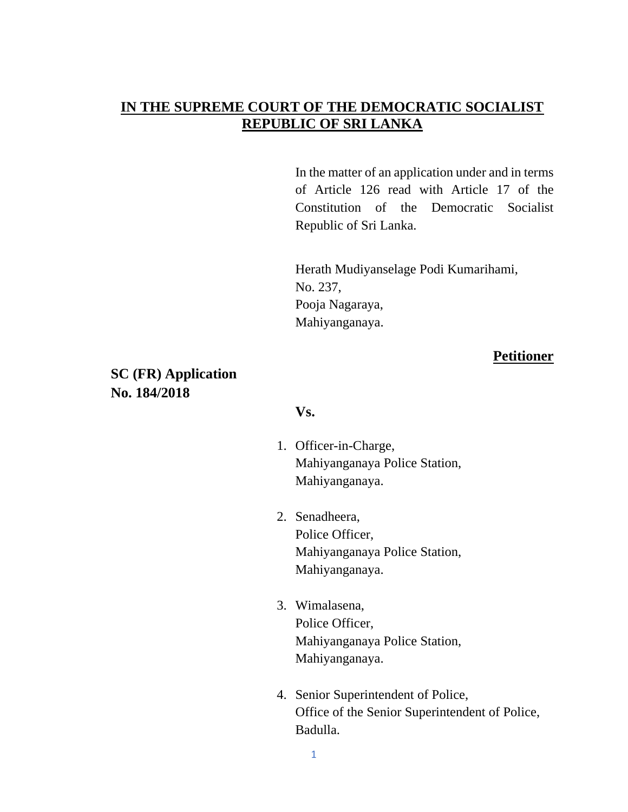## **IN THE SUPREME COURT OF THE DEMOCRATIC SOCIALIST REPUBLIC OF SRI LANKA**

In the matter of an application under and in terms of Article 126 read with Article 17 of the Constitution of the Democratic Socialist Republic of Sri Lanka.

Herath Mudiyanselage Podi Kumarihami, No. 237, Pooja Nagaraya, Mahiyanganaya.

### **Petitioner**

## **SC (FR) Application No. 184/2018**

#### **Vs.**

- 1. Officer-in-Charge, Mahiyanganaya Police Station, Mahiyanganaya.
- 2. Senadheera, Police Officer, Mahiyanganaya Police Station, Mahiyanganaya.
- 3. Wimalasena, Police Officer, Mahiyanganaya Police Station, Mahiyanganaya.
- 4. Senior Superintendent of Police, Office of the Senior Superintendent of Police, Badulla.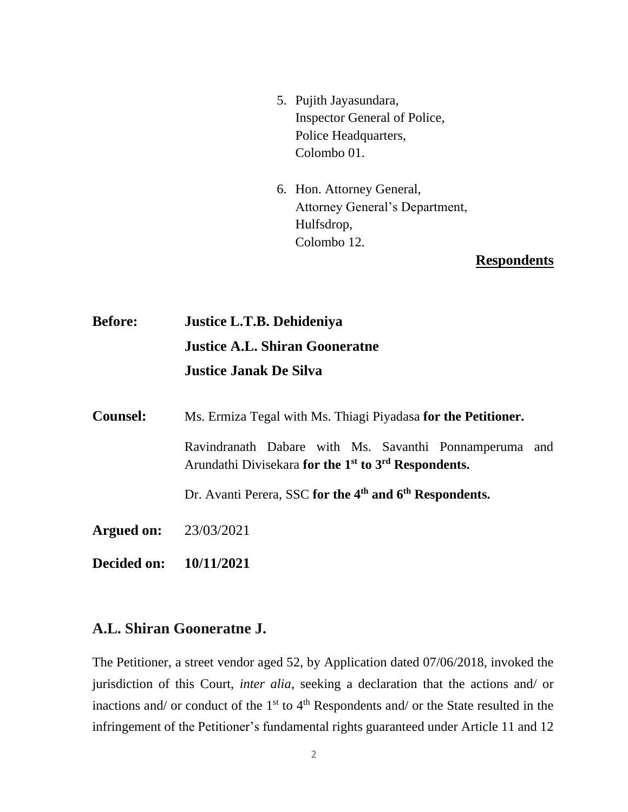- 5. Pujith Jayasundara, Inspector General of Police, Police Headquarters, Colombo 01.
- 6. Hon. Attorney General, Attorney General's Department, Hulfsdrop, Colombo 12.

## **Respondents**

**Before: Justice L.T.B. Dehideniya Justice A.L. Shiran Gooneratne Justice Janak De Silva** 

| <b>Counsel:</b> | Ms. Ermiza Tegal with Ms. Thiagi Piyadasa for the Petitioner.                                                                          |
|-----------------|----------------------------------------------------------------------------------------------------------------------------------------|
|                 | Ravindranath Dabare with Ms. Savanthi Ponnamperuma and<br>Arundathi Divisekara for the 1 <sup>st</sup> to 3 <sup>rd</sup> Respondents. |
|                 | Dr. Avanti Perera, SSC for the 4 <sup>th</sup> and 6 <sup>th</sup> Respondents.                                                        |
| Argued on:      | 23/03/2021                                                                                                                             |

**Decided on: 10/11/2021**

# **A.L. Shiran Gooneratne J.**

The Petitioner, a street vendor aged 52, by Application dated 07/06/2018, invoked the jurisdiction of this Court, *inter alia*, seeking a declaration that the actions and/ or inactions and/ or conduct of the  $1<sup>st</sup>$  to  $4<sup>th</sup>$  Respondents and/ or the State resulted in the infringement of the Petitioner's fundamental rights guaranteed under Article 11 and 12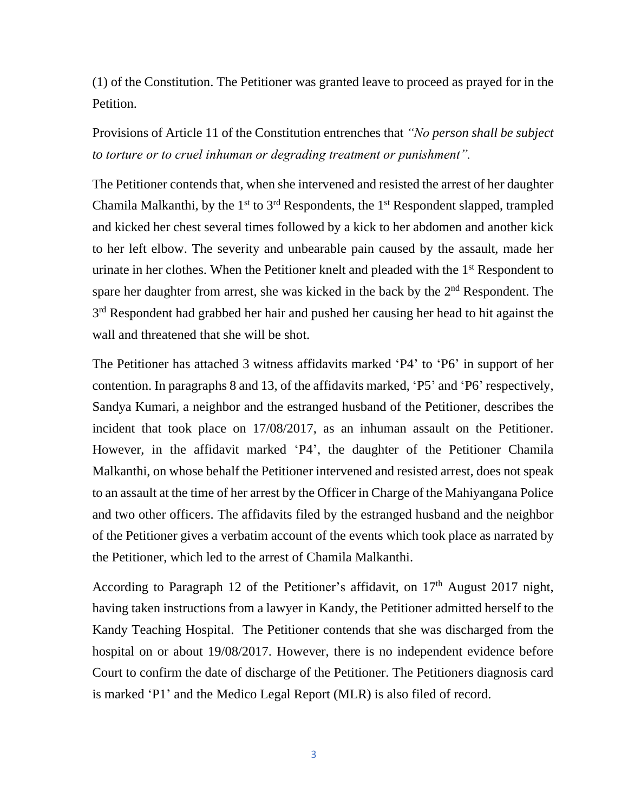(1) of the Constitution. The Petitioner was granted leave to proceed as prayed for in the Petition.

Provisions of Article 11 of the Constitution entrenches that *"No person shall be subject to torture or to cruel inhuman or degrading treatment or punishment".*

The Petitioner contends that, when she intervened and resisted the arrest of her daughter Chamila Malkanthi, by the 1<sup>st</sup> to 3<sup>rd</sup> Respondents, the 1<sup>st</sup> Respondent slapped, trampled and kicked her chest several times followed by a kick to her abdomen and another kick to her left elbow. The severity and unbearable pain caused by the assault, made her urinate in her clothes. When the Petitioner knelt and pleaded with the 1<sup>st</sup> Respondent to spare her daughter from arrest, she was kicked in the back by the 2<sup>nd</sup> Respondent. The 3<sup>rd</sup> Respondent had grabbed her hair and pushed her causing her head to hit against the wall and threatened that she will be shot.

The Petitioner has attached 3 witness affidavits marked 'P4' to 'P6' in support of her contention. In paragraphs 8 and 13, of the affidavits marked, 'P5' and 'P6' respectively, Sandya Kumari, a neighbor and the estranged husband of the Petitioner, describes the incident that took place on 17/08/2017, as an inhuman assault on the Petitioner. However, in the affidavit marked 'P4', the daughter of the Petitioner Chamila Malkanthi, on whose behalf the Petitioner intervened and resisted arrest, does not speak to an assault at the time of her arrest by the Officer in Charge of the Mahiyangana Police and two other officers. The affidavits filed by the estranged husband and the neighbor of the Petitioner gives a verbatim account of the events which took place as narrated by the Petitioner, which led to the arrest of Chamila Malkanthi.

According to Paragraph 12 of the Petitioner's affidavit, on  $17<sup>th</sup>$  August 2017 night, having taken instructions from a lawyer in Kandy, the Petitioner admitted herself to the Kandy Teaching Hospital. The Petitioner contends that she was discharged from the hospital on or about 19/08/2017. However, there is no independent evidence before Court to confirm the date of discharge of the Petitioner. The Petitioners diagnosis card is marked 'P1' and the Medico Legal Report (MLR) is also filed of record.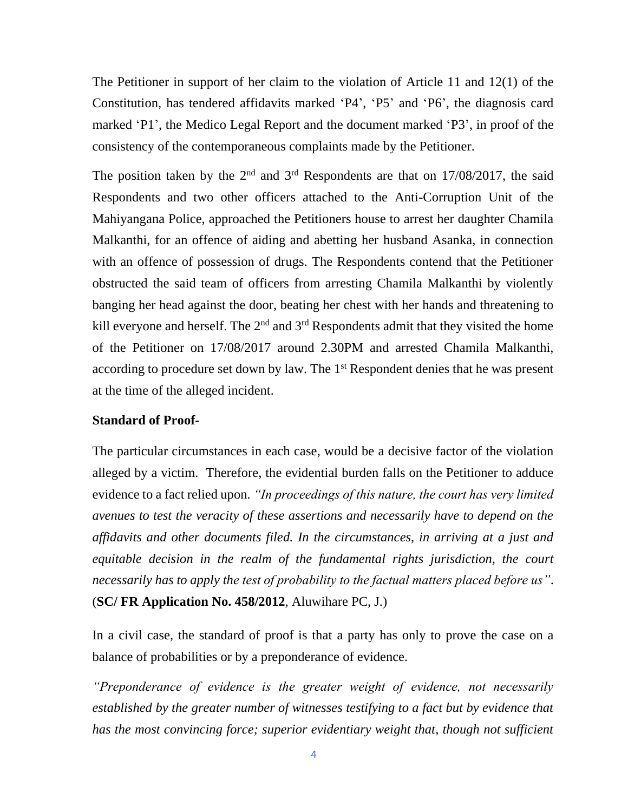The Petitioner in support of her claim to the violation of Article 11 and 12(1) of the Constitution, has tendered affidavits marked 'P4', 'P5' and 'P6', the diagnosis card marked 'P1', the Medico Legal Report and the document marked 'P3', in proof of the consistency of the contemporaneous complaints made by the Petitioner.

The position taken by the  $2<sup>nd</sup>$  and  $3<sup>rd</sup>$  Respondents are that on 17/08/2017, the said Respondents and two other officers attached to the Anti-Corruption Unit of the Mahiyangana Police, approached the Petitioners house to arrest her daughter Chamila Malkanthi, for an offence of aiding and abetting her husband Asanka, in connection with an offence of possession of drugs. The Respondents contend that the Petitioner obstructed the said team of officers from arresting Chamila Malkanthi by violently banging her head against the door, beating her chest with her hands and threatening to kill everyone and herself. The  $2<sup>nd</sup>$  and  $3<sup>rd</sup>$  Respondents admit that they visited the home of the Petitioner on 17/08/2017 around 2.30PM and arrested Chamila Malkanthi, according to procedure set down by law. The 1<sup>st</sup> Respondent denies that he was present at the time of the alleged incident.

#### **Standard of Proof-**

The particular circumstances in each case, would be a decisive factor of the violation alleged by a victim. Therefore, the evidential burden falls on the Petitioner to adduce evidence to a fact relied upon. *"In proceedings of this nature, the court has very limited avenues to test the veracity of these assertions and necessarily have to depend on the affidavits and other documents filed. In the circumstances, in arriving at a just and equitable decision in the realm of the fundamental rights jurisdiction, the court necessarily has to apply the test of probability to the factual matters placed before us"*. (**SC/ FR Application No. 458/2012**, Aluwihare PC, J.)

In a civil case, the standard of proof is that a party has only to prove the case on a balance of probabilities or by a preponderance of evidence.

*"Preponderance of evidence is the greater weight of evidence, not necessarily established by the greater number of witnesses testifying to a fact but by evidence that has the most convincing force; superior evidentiary weight that, though not sufficient*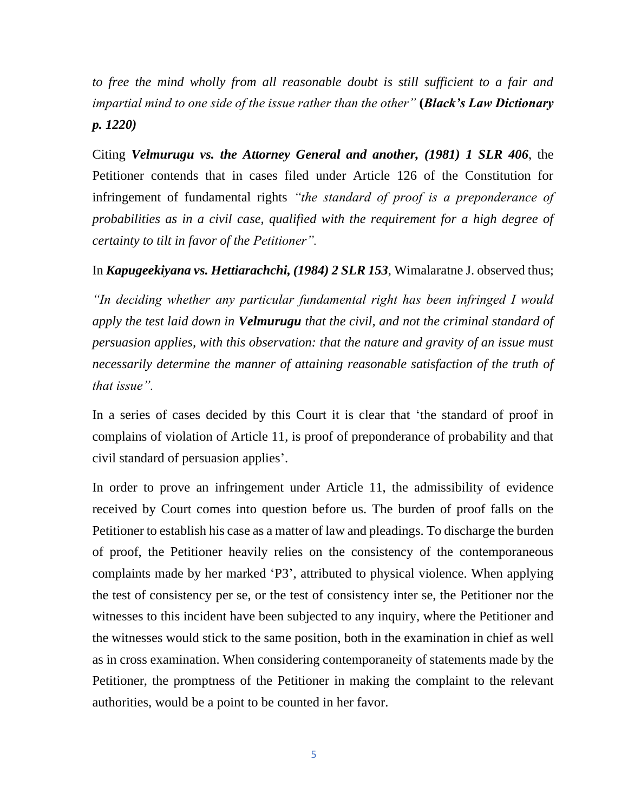to free the mind wholly from all reasonable doubt is still sufficient to a fair and *impartial mind to one side of the issue rather than the other"* **(***Black's Law Dictionary p. 1220)*

Citing *Velmurugu vs. the Attorney General and another, (1981) 1 SLR 406*, the Petitioner contends that in cases filed under Article 126 of the Constitution for infringement of fundamental rights *"the standard of proof is a preponderance of probabilities as in a civil case, qualified with the requirement for a high degree of certainty to tilt in favor of the Petitioner".* 

### In *Kapugeekiyana vs. Hettiarachchi, (1984) 2 SLR 153*, Wimalaratne J. observed thus;

*"In deciding whether any particular fundamental right has been infringed I would apply the test laid down in Velmurugu that the civil, and not the criminal standard of persuasion applies, with this observation: that the nature and gravity of an issue must necessarily determine the manner of attaining reasonable satisfaction of the truth of that issue".*

In a series of cases decided by this Court it is clear that 'the standard of proof in complains of violation of Article 11, is proof of preponderance of probability and that civil standard of persuasion applies'.

In order to prove an infringement under Article 11, the admissibility of evidence received by Court comes into question before us. The burden of proof falls on the Petitioner to establish his case as a matter of law and pleadings. To discharge the burden of proof, the Petitioner heavily relies on the consistency of the contemporaneous complaints made by her marked 'P3', attributed to physical violence. When applying the test of consistency per se, or the test of consistency inter se, the Petitioner nor the witnesses to this incident have been subjected to any inquiry, where the Petitioner and the witnesses would stick to the same position, both in the examination in chief as well as in cross examination. When considering contemporaneity of statements made by the Petitioner, the promptness of the Petitioner in making the complaint to the relevant authorities, would be a point to be counted in her favor.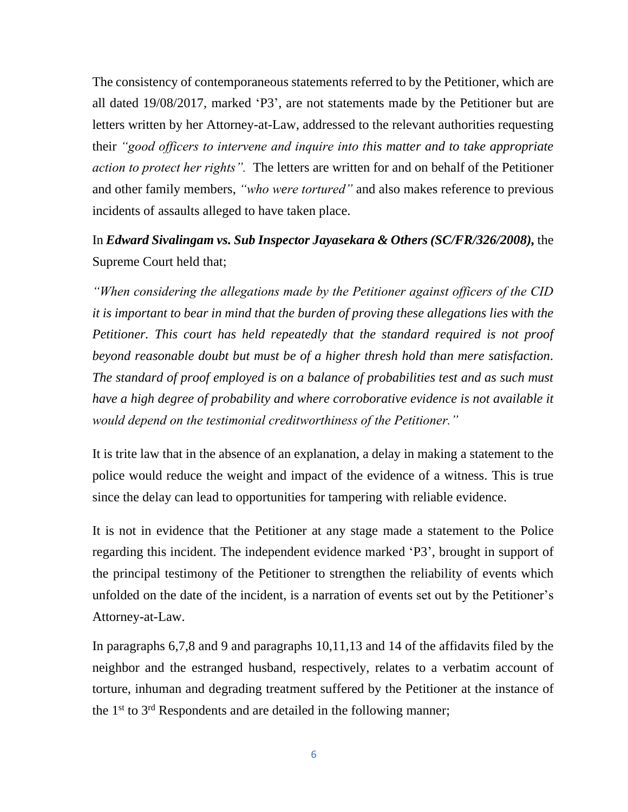The consistency of contemporaneous statements referred to by the Petitioner, which are all dated 19/08/2017, marked 'P3', are not statements made by the Petitioner but are letters written by her Attorney-at-Law, addressed to the relevant authorities requesting their *"good officers to intervene and inquire into this matter and to take appropriate action to protect her rights".* The letters are written for and on behalf of the Petitioner and other family members, *"who were tortured"* and also makes reference to previous incidents of assaults alleged to have taken place.

# In *Edward Sivalingam vs. Sub Inspector Jayasekara & Others (SC/FR/326/2008),* the Supreme Court held that;

*"When considering the allegations made by the Petitioner against officers of the CID it is important to bear in mind that the burden of proving these allegations lies with the Petitioner. This court has held repeatedly that the standard required is not proof beyond reasonable doubt but must be of a higher thresh hold than mere satisfaction. The standard of proof employed is on a balance of probabilities test and as such must have a high degree of probability and where corroborative evidence is not available it would depend on the testimonial creditworthiness of the Petitioner."*

It is trite law that in the absence of an explanation, a delay in making a statement to the police would reduce the weight and impact of the evidence of a witness. This is true since the delay can lead to opportunities for tampering with reliable evidence.

It is not in evidence that the Petitioner at any stage made a statement to the Police regarding this incident. The independent evidence marked 'P3', brought in support of the principal testimony of the Petitioner to strengthen the reliability of events which unfolded on the date of the incident, is a narration of events set out by the Petitioner's Attorney-at-Law.

In paragraphs 6,7,8 and 9 and paragraphs 10,11,13 and 14 of the affidavits filed by the neighbor and the estranged husband, respectively, relates to a verbatim account of torture, inhuman and degrading treatment suffered by the Petitioner at the instance of the 1<sup>st</sup> to 3<sup>rd</sup> Respondents and are detailed in the following manner;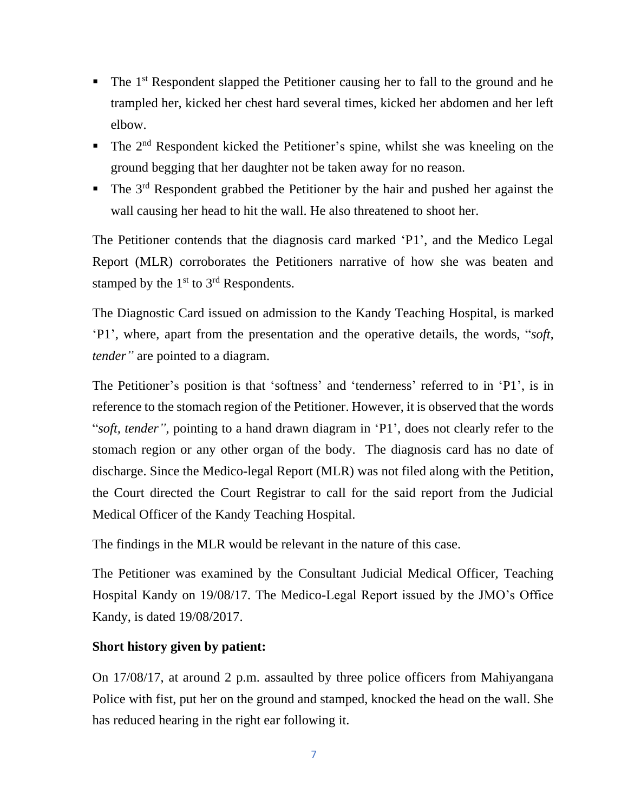- $\blacksquare$  The 1<sup>st</sup> Respondent slapped the Petitioner causing her to fall to the ground and he trampled her, kicked her chest hard several times, kicked her abdomen and her left elbow.
- $\blacksquare$  The 2<sup>nd</sup> Respondent kicked the Petitioner's spine, whilst she was kneeling on the ground begging that her daughter not be taken away for no reason.
- The 3<sup>rd</sup> Respondent grabbed the Petitioner by the hair and pushed her against the wall causing her head to hit the wall. He also threatened to shoot her.

The Petitioner contends that the diagnosis card marked 'P1', and the Medico Legal Report (MLR) corroborates the Petitioners narrative of how she was beaten and stamped by the 1<sup>st</sup> to 3<sup>rd</sup> Respondents.

The Diagnostic Card issued on admission to the Kandy Teaching Hospital, is marked 'P1', where, apart from the presentation and the operative details, the words, "*soft*, *tender"* are pointed to a diagram.

The Petitioner's position is that 'softness' and 'tenderness' referred to in 'P1', is in reference to the stomach region of the Petitioner. However, it is observed that the words "*soft, tender"*, pointing to a hand drawn diagram in 'P1', does not clearly refer to the stomach region or any other organ of the body. The diagnosis card has no date of discharge. Since the Medico-legal Report (MLR) was not filed along with the Petition, the Court directed the Court Registrar to call for the said report from the Judicial Medical Officer of the Kandy Teaching Hospital.

The findings in the MLR would be relevant in the nature of this case.

The Petitioner was examined by the Consultant Judicial Medical Officer, Teaching Hospital Kandy on 19/08/17. The Medico-Legal Report issued by the JMO's Office Kandy, is dated 19/08/2017.

### **Short history given by patient:**

On 17/08/17, at around 2 p.m. assaulted by three police officers from Mahiyangana Police with fist, put her on the ground and stamped, knocked the head on the wall. She has reduced hearing in the right ear following it.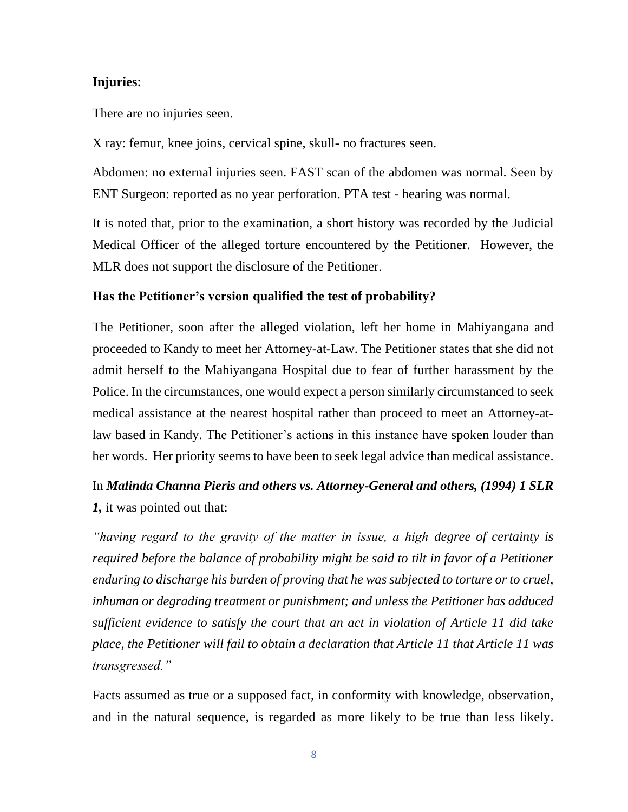### **Injuries**:

There are no injuries seen.

X ray: femur, knee joins, cervical spine, skull- no fractures seen.

Abdomen: no external injuries seen. FAST scan of the abdomen was normal. Seen by ENT Surgeon: reported as no year perforation. PTA test - hearing was normal.

It is noted that, prior to the examination, a short history was recorded by the Judicial Medical Officer of the alleged torture encountered by the Petitioner. However, the MLR does not support the disclosure of the Petitioner.

### **Has the Petitioner's version qualified the test of probability?**

The Petitioner, soon after the alleged violation, left her home in Mahiyangana and proceeded to Kandy to meet her Attorney-at-Law. The Petitioner states that she did not admit herself to the Mahiyangana Hospital due to fear of further harassment by the Police. In the circumstances, one would expect a person similarly circumstanced to seek medical assistance at the nearest hospital rather than proceed to meet an Attorney-atlaw based in Kandy. The Petitioner's actions in this instance have spoken louder than her words. Her priority seems to have been to seek legal advice than medical assistance.

# In *Malinda Channa Pieris and others vs. Attorney-General and others, (1994) 1 SLR 1,* it was pointed out that:

*"having regard to the gravity of the matter in issue, a high degree of certainty is required before the balance of probability might be said to tilt in favor of a Petitioner enduring to discharge his burden of proving that he was subjected to torture or to cruel, inhuman or degrading treatment or punishment; and unless the Petitioner has adduced sufficient evidence to satisfy the court that an act in violation of Article 11 did take place, the Petitioner will fail to obtain a declaration that Article 11 that Article 11 was transgressed."*

Facts assumed as true or a supposed fact, in conformity with knowledge, observation, and in the natural sequence, is regarded as more likely to be true than less likely.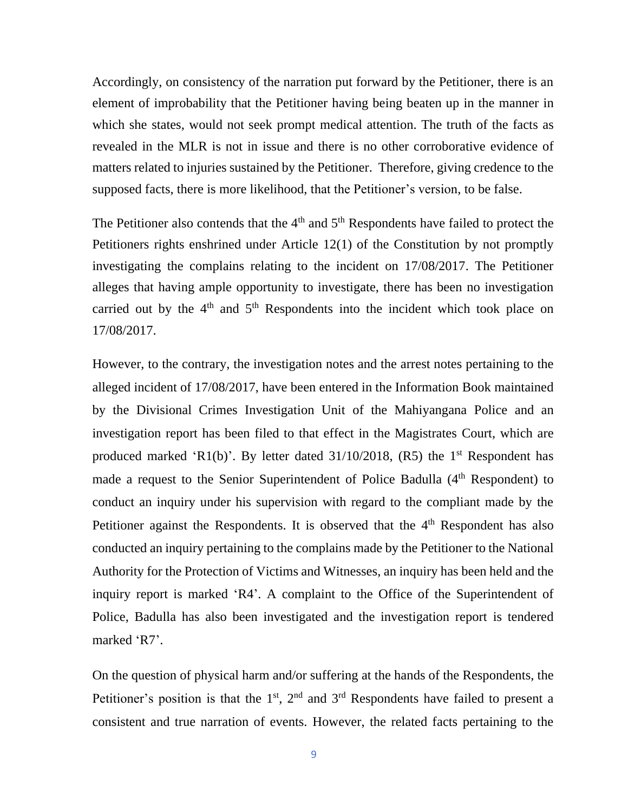Accordingly, on consistency of the narration put forward by the Petitioner, there is an element of improbability that the Petitioner having being beaten up in the manner in which she states, would not seek prompt medical attention. The truth of the facts as revealed in the MLR is not in issue and there is no other corroborative evidence of matters related to injuries sustained by the Petitioner. Therefore, giving credence to the supposed facts, there is more likelihood, that the Petitioner's version, to be false.

The Petitioner also contends that the  $4<sup>th</sup>$  and  $5<sup>th</sup>$  Respondents have failed to protect the Petitioners rights enshrined under Article 12(1) of the Constitution by not promptly investigating the complains relating to the incident on 17/08/2017. The Petitioner alleges that having ample opportunity to investigate, there has been no investigation carried out by the  $4<sup>th</sup>$  and  $5<sup>th</sup>$  Respondents into the incident which took place on 17/08/2017.

However, to the contrary, the investigation notes and the arrest notes pertaining to the alleged incident of 17/08/2017, have been entered in the Information Book maintained by the Divisional Crimes Investigation Unit of the Mahiyangana Police and an investigation report has been filed to that effect in the Magistrates Court, which are produced marked 'R1(b)'. By letter dated  $31/10/2018$ , (R5) the 1<sup>st</sup> Respondent has made a request to the Senior Superintendent of Police Badulla (4<sup>th</sup> Respondent) to conduct an inquiry under his supervision with regard to the compliant made by the Petitioner against the Respondents. It is observed that the 4<sup>th</sup> Respondent has also conducted an inquiry pertaining to the complains made by the Petitioner to the National Authority for the Protection of Victims and Witnesses, an inquiry has been held and the inquiry report is marked 'R4'. A complaint to the Office of the Superintendent of Police, Badulla has also been investigated and the investigation report is tendered marked 'R7'.

On the question of physical harm and/or suffering at the hands of the Respondents, the Petitioner's position is that the  $1<sup>st</sup>$ ,  $2<sup>nd</sup>$  and  $3<sup>rd</sup>$  Respondents have failed to present a consistent and true narration of events. However, the related facts pertaining to the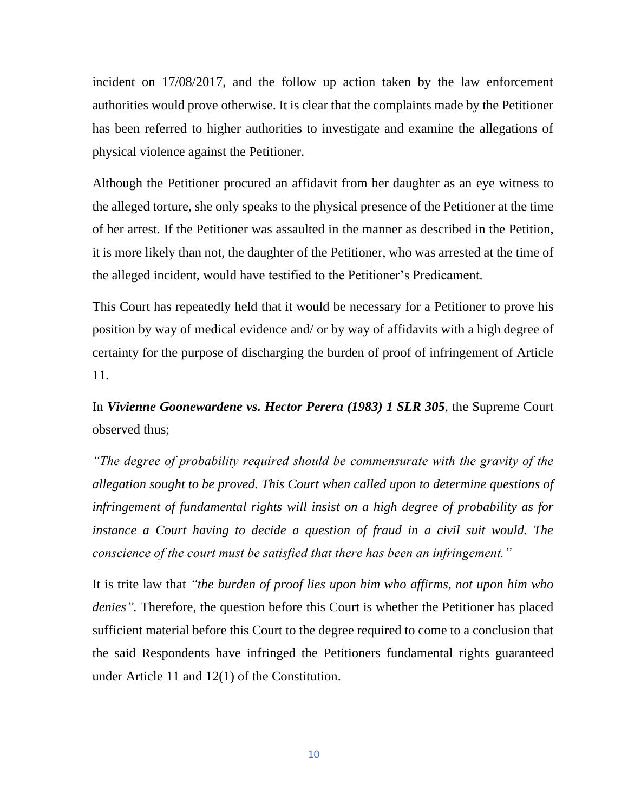incident on 17/08/2017, and the follow up action taken by the law enforcement authorities would prove otherwise. It is clear that the complaints made by the Petitioner has been referred to higher authorities to investigate and examine the allegations of physical violence against the Petitioner.

Although the Petitioner procured an affidavit from her daughter as an eye witness to the alleged torture, she only speaks to the physical presence of the Petitioner at the time of her arrest. If the Petitioner was assaulted in the manner as described in the Petition, it is more likely than not, the daughter of the Petitioner, who was arrested at the time of the alleged incident, would have testified to the Petitioner's Predicament.

This Court has repeatedly held that it would be necessary for a Petitioner to prove his position by way of medical evidence and/ or by way of affidavits with a high degree of certainty for the purpose of discharging the burden of proof of infringement of Article 11.

In *Vivienne Goonewardene vs. Hector Perera (1983) 1 SLR 305*, the Supreme Court observed thus;

*"The degree of probability required should be commensurate with the gravity of the allegation sought to be proved. This Court when called upon to determine questions of infringement of fundamental rights will insist on a high degree of probability as for instance a Court having to decide a question of fraud in a civil suit would. The conscience of the court must be satisfied that there has been an infringement."* 

It is trite law that *"the burden of proof lies upon him who affirms, not upon him who denies".* Therefore, the question before this Court is whether the Petitioner has placed sufficient material before this Court to the degree required to come to a conclusion that the said Respondents have infringed the Petitioners fundamental rights guaranteed under Article 11 and 12(1) of the Constitution.